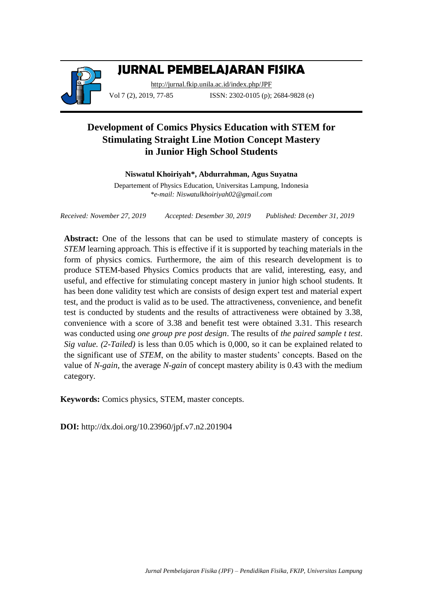

# **JURNAL PEMBELAJARAN FISIKA**

<http://jurnal.fkip.unila.ac.id/index.php/JPF> Vol 7 (2), 2019, 77-85 **ISSN**: 2302-0105 (p); 2684-9828 (e)

# **Development of Comics Physics Education with STEM for Stimulating Straight Line Motion Concept Mastery in Junior High School Students**

## **Niswatul Khoiriyah\*, Abdurrahman, Agus Suyatna**

Departement of Physics Education, Universitas Lampung, Indonesia *\*e-mail: Niswatulkhoiriyah02@gmail.com*

*Received: November 27, 2019 Accepted: Desember 30, 2019 Published: December 31, 2019*

**Abstract:** One of the lessons that can be used to stimulate mastery of concepts is *STEM* learning approach. This is effective if it is supported by teaching materials in the form of physics comics. Furthermore, the aim of this research development is to produce STEM-based Physics Comics products that are valid, interesting, easy, and useful, and effective for stimulating concept mastery in junior high school students. It has been done validity test which are consists of design expert test and material expert test, and the product is valid as to be used. The attractiveness, convenience, and benefit test is conducted by students and the results of attractiveness were obtained by 3.38, convenience with a score of 3.38 and benefit test were obtained 3.31. This research was conducted using *one group pre post design*. The results of *the paired sample t test*. *Sig value. (2-Tailed)* is less than 0.05 which is 0,000, so it can be explained related to the significant use of *STEM*, on the ability to master students' concepts. Based on the value of *N-gain*, the average *N-gain* of concept mastery ability is 0.43 with the medium category.

**Keywords:** Comics physics, STEM, master concepts.

**DOI:** http://dx.doi.org/10.23960/jpf.v7.n2.201904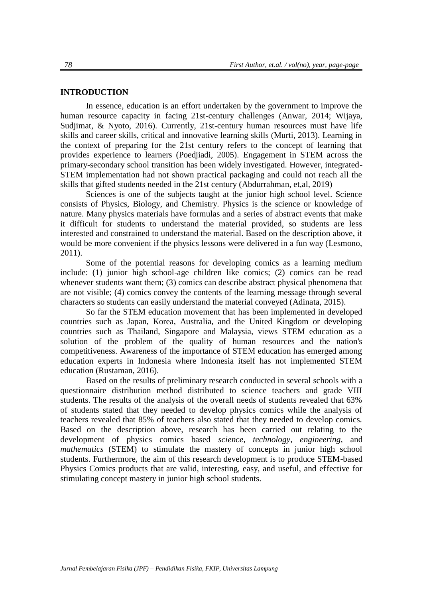#### **INTRODUCTION**

In essence, education is an effort undertaken by the government to improve the human resource capacity in facing 21st-century challenges (Anwar, 2014; Wijaya, Sudjimat, & Nyoto, 2016). Currently, 21st-century human resources must have life skills and career skills, critical and innovative learning skills (Murti, 2013). Learning in the context of preparing for the 21st century refers to the concept of learning that provides experience to learners (Poedjiadi, 2005). Engagement in STEM across the primary-secondary school transition has been widely investigated. However, integrated-STEM implementation had not shown practical packaging and could not reach all the skills that gifted students needed in the 21st century (Abdurrahman, et,al, 2019)

Sciences is one of the subjects taught at the junior high school level. Science consists of Physics, Biology, and Chemistry. Physics is the science or knowledge of nature. Many physics materials have formulas and a series of abstract events that make it difficult for students to understand the material provided, so students are less interested and constrained to understand the material. Based on the description above, it would be more convenient if the physics lessons were delivered in a fun way (Lesmono, 2011).

Some of the potential reasons for developing comics as a learning medium include: (1) junior high school-age children like comics; (2) comics can be read whenever students want them; (3) comics can describe abstract physical phenomena that are not visible; (4) comics convey the contents of the learning message through several characters so students can easily understand the material conveyed (Adinata, 2015).

So far the STEM education movement that has been implemented in developed countries such as Japan, Korea, Australia, and the United Kingdom or developing countries such as Thailand, Singapore and Malaysia, views STEM education as a solution of the problem of the quality of human resources and the nation's competitiveness. Awareness of the importance of STEM education has emerged among education experts in Indonesia where Indonesia itself has not implemented STEM education (Rustaman, 2016).

Based on the results of preliminary research conducted in several schools with a questionnaire distribution method distributed to science teachers and grade VIII students. The results of the analysis of the overall needs of students revealed that 63% of students stated that they needed to develop physics comics while the analysis of teachers revealed that 85% of teachers also stated that they needed to develop comics. Based on the description above, research has been carried out relating to the development of physics comics based *science, technology, engineering,* and *mathematics* (STEM) to stimulate the mastery of concepts in junior high school students. Furthermore, the aim of this research development is to produce STEM-based Physics Comics products that are valid, interesting, easy, and useful, and effective for stimulating concept mastery in junior high school students.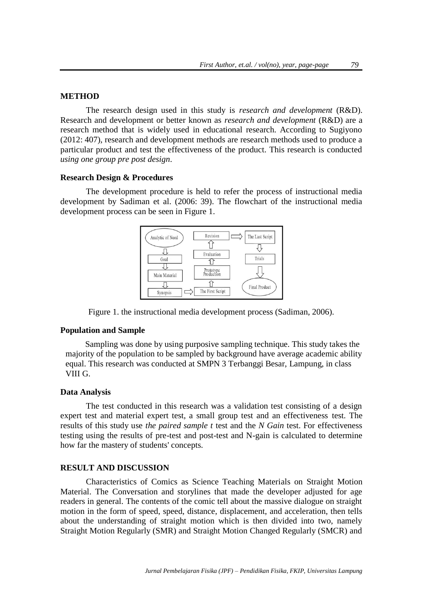#### **METHOD**

The research design used in this study is *research and development* (R&D). Research and development or better known as *research and development* (R&D) are a research method that is widely used in educational research. According to Sugiyono (2012: 407), research and development methods are research methods used to produce a particular product and test the effectiveness of the product. This research is conducted *using one group pre post design*.

#### **Research Design & Procedures**

The development procedure is held to refer the process of instructional media development by Sadiman et al. (2006: 39). The flowchart of the instructional media development process can be seen in Figure 1.



Figure 1. the instructional media development process (Sadiman, 2006).

#### **Population and Sample**

Sampling was done by using purposive sampling technique. This study takes the majority of the population to be sampled by background have average academic ability equal. This research was conducted at SMPN 3 Terbanggi Besar, Lampung, in class VIII G.

#### **Data Analysis**

The test conducted in this research was a validation test consisting of a design expert test and material expert test, a small group test and an effectiveness test. The results of this study use *the paired sample t* test and the *N Gain* test. For effectiveness testing using the results of pre-test and post-test and N-gain is calculated to determine how far the mastery of students' concepts.

#### **RESULT AND DISCUSSION**

Characteristics of Comics as Science Teaching Materials on Straight Motion Material. The Conversation and storylines that made the developer adjusted for age readers in general. The contents of the comic tell about the massive dialogue on straight motion in the form of speed, speed, distance, displacement, and acceleration, then tells about the understanding of straight motion which is then divided into two, namely Straight Motion Regularly (SMR) and Straight Motion Changed Regularly (SMCR) and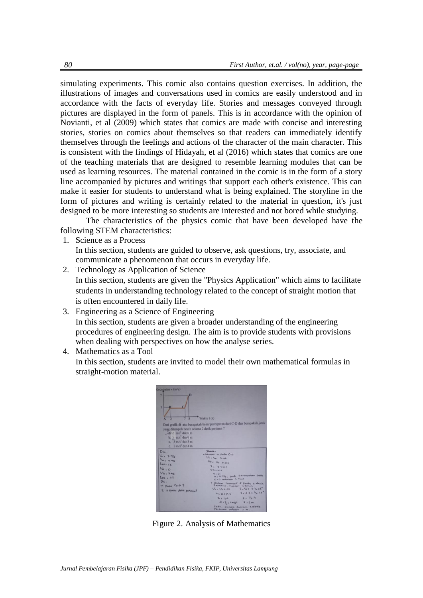simulating experiments. This comic also contains question exercises. In addition, the illustrations of images and conversations used in comics are easily understood and in accordance with the facts of everyday life. Stories and messages conveyed through pictures are displayed in the form of panels. This is in accordance with the opinion of Novianti, et al (2009) which states that comics are made with concise and interesting stories, stories on comics about themselves so that readers can immediately identify themselves through the feelings and actions of the character of the main character. This is consistent with the findings of Hidayah, et al (2016) which states that comics are one of the teaching materials that are designed to resemble learning modules that can be used as learning resources. The material contained in the comic is in the form of a story line accompanied by pictures and writings that support each other's existence. This can make it easier for students to understand what is being explained. The storyline in the form of pictures and writing is certainly related to the material in question, it's just designed to be more interesting so students are interested and not bored while studying.

The characteristics of the physics comic that have been developed have the following STEM characteristics:

1. Science as a Process

In this section, students are guided to observe, ask questions, try, associate, and communicate a phenomenon that occurs in everyday life.

- 2. Technology as Application of Science In this section, students are given the "Physics Application" which aims to facilitate students in understanding technology related to the concept of straight motion that is often encountered in daily life.
- 3. Engineering as a Science of Engineering In this section, students are given a broader understanding of the engineering procedures of engineering design. The aim is to provide students with provisions when dealing with perspectives on how the analyse series.
- 4. Mathematics as a Tool

In this section, students are invited to model their own mathematical formulas in straight-motion material.

| Cecepatan v (m/s)                                                                                                                                                                                        |                                                                                                                                                                                                                                                                                                                                                                                                                                                         |
|----------------------------------------------------------------------------------------------------------------------------------------------------------------------------------------------------------|---------------------------------------------------------------------------------------------------------------------------------------------------------------------------------------------------------------------------------------------------------------------------------------------------------------------------------------------------------------------------------------------------------------------------------------------------------|
| 7<br>3                                                                                                                                                                                                   | Waktu t (s)                                                                                                                                                                                                                                                                                                                                                                                                                                             |
| yang ditempuh benda selama 2 detik pertama ?<br>$\frac{324}{10}$ m/s <sup>2</sup> dan 2 m<br>$b. 2$ m/s <sup>2</sup> dan $4$ m<br>c. $3 \text{ m/s}^2$ dan $3 \text{ m}$<br>d. $3 \text{ m/s}^2$ dan 4 m | Dari grafik di atas berapakah besar percepatan dari C-D dan berapakah jarak                                                                                                                                                                                                                                                                                                                                                                             |
| $D_{1k}$<br>$V_{C}$ , $3$ M/s<br>$V_{0}$ , $7M_4$<br>400115<br>$V_{\alpha}$ , $\circ$<br>$V_{b}$ . 3 m/s<br>$km + 25$<br>$Du$ .<br>a. Pada Co-D ?<br>S 2 pada delik pertama?                             | <b>JOURNAL</b><br>* mancari a pada C-D<br>$U_4$ , $U_6$ + ab<br>Vo: Vo tat<br>$3.3 + a1$<br>$3 - 3 + 0 - 1$<br>410<br>a, ums, gadi percepatan pada<br>$C - D$ adatah 4 mint<br>· Untuk mancari & Pada 2 delik<br>Perbama, mencari a dahulu<br>$S_{\alpha}$ Vot + $\%$ at<br>$V_{b}$ , $V_{a}$ is $\omega$ k<br>$5.0.14$ Y <sub>2</sub> 1.2<br>25010.2<br>5: 4.4<br>2229<br>$OIB_{b}11m1b$ $S12m$<br>Thor, Tarak sempul zdet'k<br>Pertama adalah<br>上 川。 |

Figure 2. Analysis of Mathematics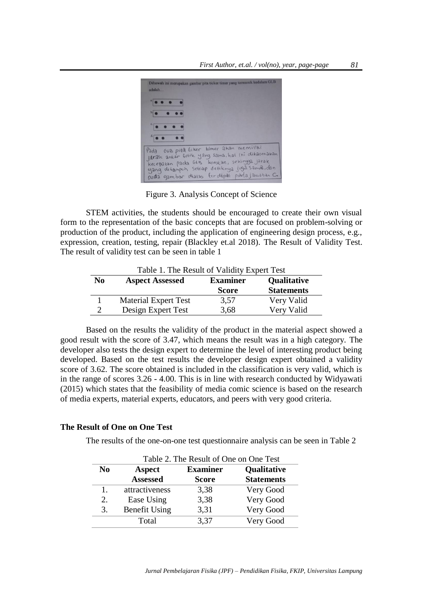

Figure 3. Analysis Concept of Science

STEM activities, the students should be encouraged to create their own visual form to the representation of the basic concepts that are focused on problem-solving or production of the product, including the application of engineering design process, e.g., expression, creation, testing, repair (Blackley et.al 2018). The Result of Validity Test. The result of validity test can be seen in table 1

| Table 1. The Result of Validity Expert Test |                                                          |              |                   |  |
|---------------------------------------------|----------------------------------------------------------|--------------|-------------------|--|
| N <sub>0</sub>                              | <b>Aspect Assessed</b><br>Qualitative<br><b>Examiner</b> |              |                   |  |
|                                             |                                                          | <b>Score</b> | <b>Statements</b> |  |
|                                             | <b>Material Expert Test</b>                              | 3.57         | Very Valid        |  |
| $\overline{c}$                              | Design Expert Test                                       | 3,68         | Very Valid        |  |

Based on the results the validity of the product in the material aspect showed a good result with the score of 3.47, which means the result was in a high category. The developer also tests the design expert to determine the level of interesting product being developed. Based on the test results the developer design expert obtained a validity score of 3.62. The score obtained is included in the classification is very valid, which is in the range of scores 3.26 - 4.00. This is in line with research conducted by Widyawati (2015) which states that the feasibility of media comic science is based on the research of media experts, material experts, educators, and peers with very good criteria.

#### **The Result of One on One Test**

The results of the one-on-one test questionnaire analysis can be seen in Table 2

|                | Table 2. The Result of One on One Test |                 |                   |  |
|----------------|----------------------------------------|-----------------|-------------------|--|
| N <sub>0</sub> | Aspect                                 | <b>Examiner</b> | Qualitative       |  |
|                | <b>Assessed</b>                        | <b>Score</b>    | <b>Statements</b> |  |
| 1.             | attractiveness                         | 3,38            | Very Good         |  |
| 2.             | Ease Using                             | 3,38            | Very Good         |  |
| 3.             | <b>Benefit Using</b>                   | 3,31            | Very Good         |  |
|                | Total                                  | 3,37            | Very Good         |  |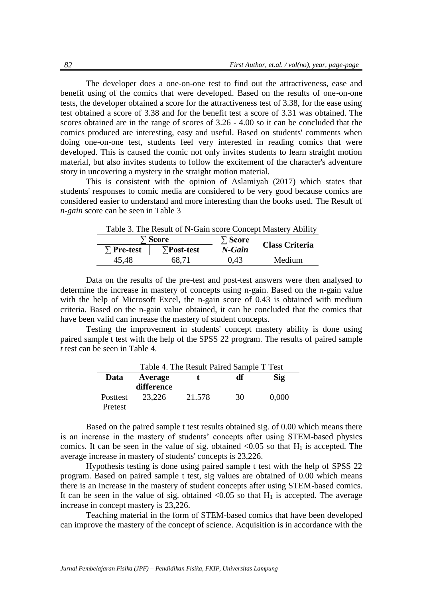The developer does a one-on-one test to find out the attractiveness, ease and benefit using of the comics that were developed. Based on the results of one-on-one tests, the developer obtained a score for the attractiveness test of 3.38, for the ease using test obtained a score of 3.38 and for the benefit test a score of 3.31 was obtained. The scores obtained are in the range of scores of 3.26 - 4.00 so it can be concluded that the comics produced are interesting, easy and useful. Based on students' comments when doing one-on-one test, students feel very interested in reading comics that were developed. This is caused the comic not only invites students to learn straight motion material, but also invites students to follow the excitement of the character's adventure story in uncovering a mystery in the straight motion material.

This is consistent with the opinion of Aslamiyah (2017) which states that students' responses to comic media are considered to be very good because comics are considered easier to understand and more interesting than the books used. The Result of *n-gain* score can be seen in Table 3

| Tuble 5. The Result of It Suit secre concept musici ; Tionity<br>`Score |       | $\Sigma$ Score |                       |  |
|-------------------------------------------------------------------------|-------|----------------|-----------------------|--|
| $\Sigma$ Pre-test<br>$\sum$ Post-test                                   |       | N-Gain         | <b>Class Criteria</b> |  |
| 45.48                                                                   | 68.71 | 0.43           | Medium                |  |

Table 3. The Result of N-Gain score Concept Mastery Ability

Data on the results of the pre-test and post-test answers were then analysed to determine the increase in mastery of concepts using n-gain. Based on the n-gain value with the help of Microsoft Excel, the n-gain score of 0.43 is obtained with medium criteria. Based on the n-gain value obtained, it can be concluded that the comics that have been valid can increase the mastery of student concepts.

Testing the improvement in students' concept mastery ability is done using paired sample t test with the help of the SPSS 22 program. The results of paired sample *t* test can be seen in Table 4.

| Table 4. The Result Paired Sample T Test |            |        |    |       |
|------------------------------------------|------------|--------|----|-------|
| Data                                     | Average    |        | df | Sig   |
|                                          | difference |        |    |       |
| Posttest                                 | 23.226     | 21.578 | 30 | 0.000 |
| Pretest                                  |            |        |    |       |

Based on the paired sample t test results obtained sig. of 0.00 which means there is an increase in the mastery of students' concepts after using STEM-based physics comics. It can be seen in the value of sig. obtained  $\langle 0.05 \rangle$  so that H<sub>1</sub> is accepted. The average increase in mastery of students' concepts is 23,226.

Hypothesis testing is done using paired sample t test with the help of SPSS 22 program. Based on paired sample t test, sig values are obtained of 0.00 which means there is an increase in the mastery of student concepts after using STEM-based comics. It can be seen in the value of sig. obtained  $\langle 0.05 \rangle$  so that H<sub>1</sub> is accepted. The average increase in concept mastery is 23,226.

Teaching material in the form of STEM-based comics that have been developed can improve the mastery of the concept of science. Acquisition is in accordance with the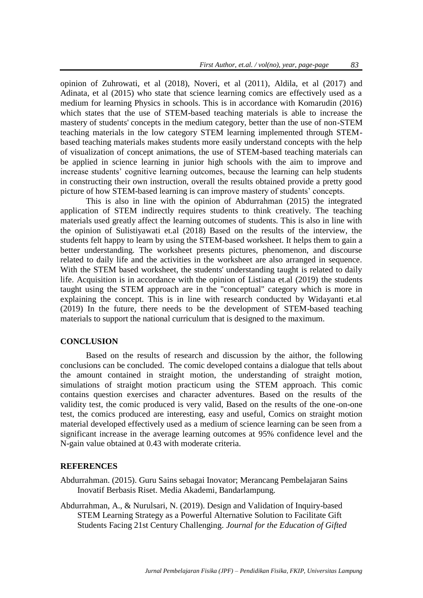opinion of Zuhrowati, et al (2018), Noveri, et al (2011), Aldila, et al (2017) and Adinata, et al (2015) who state that science learning comics are effectively used as a medium for learning Physics in schools. This is in accordance with Komarudin (2016) which states that the use of STEM-based teaching materials is able to increase the mastery of students' concepts in the medium category, better than the use of non-STEM teaching materials in the low category STEM learning implemented through STEMbased teaching materials makes students more easily understand concepts with the help of visualization of concept animations, the use of STEM-based teaching materials can be applied in science learning in junior high schools with the aim to improve and increase students' cognitive learning outcomes, because the learning can help students in constructing their own instruction, overall the results obtained provide a pretty good picture of how STEM-based learning is can improve mastery of students' concepts.

This is also in line with the opinion of Abdurrahman (2015) the integrated application of STEM indirectly requires students to think creatively. The teaching materials used greatly affect the learning outcomes of students. This is also in line with the opinion of Sulistiyawati et.al (2018) Based on the results of the interview, the students felt happy to learn by using the STEM-based worksheet. It helps them to gain a better understanding. The worksheet presents pictures, phenomenon, and discourse related to daily life and the activities in the worksheet are also arranged in sequence. With the STEM based worksheet, the students' understanding taught is related to daily life. Acquisition is in accordance with the opinion of Listiana et.al (2019) the students taught using the STEM approach are in the "conceptual" category which is more in explaining the concept. This is in line with research conducted by Widayanti et.al (2019) In the future, there needs to be the development of STEM-based teaching materials to support the national curriculum that is designed to the maximum.

### **CONCLUSION**

Based on the results of research and discussion by the aithor, the following conclusions can be concluded. The comic developed contains a dialogue that tells about the amount contained in straight motion, the understanding of straight motion, simulations of straight motion practicum using the STEM approach. This comic contains question exercises and character adventures. Based on the results of the validity test, the comic produced is very valid, Based on the results of the one-on-one test, the comics produced are interesting, easy and useful, Comics on straight motion material developed effectively used as a medium of science learning can be seen from a significant increase in the average learning outcomes at 95% confidence level and the N-gain value obtained at 0.43 with moderate criteria.

#### **REFERENCES**

Abdurrahman. (2015). Guru Sains sebagai Inovator; Merancang Pembelajaran Sains Inovatif Berbasis Riset. Media Akademi, Bandarlampung.

Abdurrahman, A., & Nurulsari, N. (2019). Design and Validation of Inquiry-based STEM Learning Strategy as a Powerful Alternative Solution to Facilitate Gift Students Facing 21st Century Challenging. *Journal for the Education of Gifted*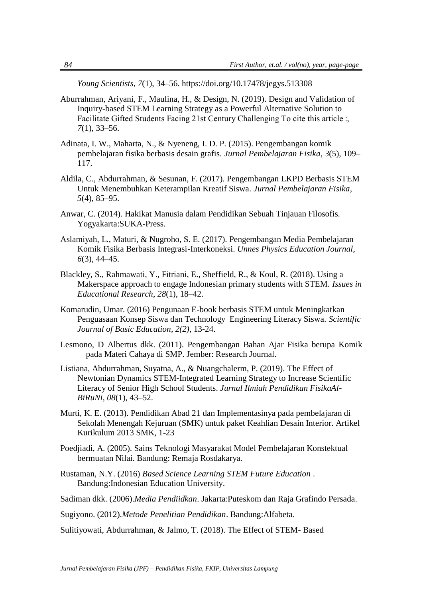*Young Scientists*, *7*(1), 34–56. https://doi.org/10.17478/jegys.513308

- Aburrahman, Ariyani, F., Maulina, H., & Design, N. (2019). Design and Validation of Inquiry-based STEM Learning Strategy as a Powerful Alternative Solution to Facilitate Gifted Students Facing 21st Century Challenging To cite this article :, *7*(1), 33–56.
- Adinata, I. W., Maharta, N., & Nyeneng, I. D. P. (2015). Pengembangan komik pembelajaran fisika berbasis desain grafis. *Jurnal Pembelajaran Fisika*, *3*(5), 109– 117.
- Aldila, C., Abdurrahman, & Sesunan, F. (2017). Pengembangan LKPD Berbasis STEM Untuk Menembuhkan Keterampilan Kreatif Siswa. *Jurnal Pembelajaran Fisika*, *5*(4), 85–95.
- Anwar, C. (2014). Hakikat Manusia dalam Pendidikan Sebuah Tinjauan Filosofis. Yogyakarta:SUKA-Press.
- Aslamiyah, L., Maturi, & Nugroho, S. E. (2017). Pengembangan Media Pembelajaran Komik Fisika Berbasis Integrasi-Interkoneksi. *Unnes Physics Education Journal*, *6*(3), 44–45.
- Blackley, S., Rahmawati, Y., Fitriani, E., Sheffield, R., & Koul, R. (2018). Using a Makerspace approach to engage Indonesian primary students with STEM. *Issues in Educational Research*, *28*(1), 18–42.
- Komarudin, Umar. (2016) Pengunaan E-book berbasis STEM untuk Meningkatkan Penguasaan Konsep Siswa dan Technology Engineering Literacy Siswa. *Scientific Journal of Basic Education, 2(2)*, 13-24.
- Lesmono, D Albertus dkk. (2011). Pengembangan Bahan Ajar Fisika berupa Komik pada Materi Cahaya di SMP. Jember: Research Journal.
- Listiana, Abdurrahman, Suyatna, A., & Nuangchalerm, P. (2019). The Effect of Newtonian Dynamics STEM-Integrated Learning Strategy to Increase Scientific Literacy of Senior High School Students. *Jurnal Ilmiah Pendidikan FisikaAl-BiRuNi*, *08*(1), 43–52.
- Murti, K. E. (2013). Pendidikan Abad 21 dan Implementasinya pada pembelajaran di Sekolah Menengah Kejuruan (SMK) untuk paket Keahlian Desain Interior. Artikel Kurikulum 2013 SMK, 1-23
- Poedjiadi, A. (2005). Sains Teknologi Masyarakat Model Pembelajaran Konstektual bermuatan Nilai. Bandung: Remaja Rosdakarya.
- Rustaman, N.Y. (2016) *Based Science Learning STEM Future Education* . Bandung:Indonesian Education University.
- Sadiman dkk. (2006).*Media Pendiidkan*. Jakarta:Puteskom dan Raja Grafindo Persada.
- Sugiyono. (2012).*Metode Penelitian Pendidikan*. Bandung:Alfabeta.

Sulitiyowati, Abdurrahman, & Jalmo, T. (2018). The Effect of STEM- Based